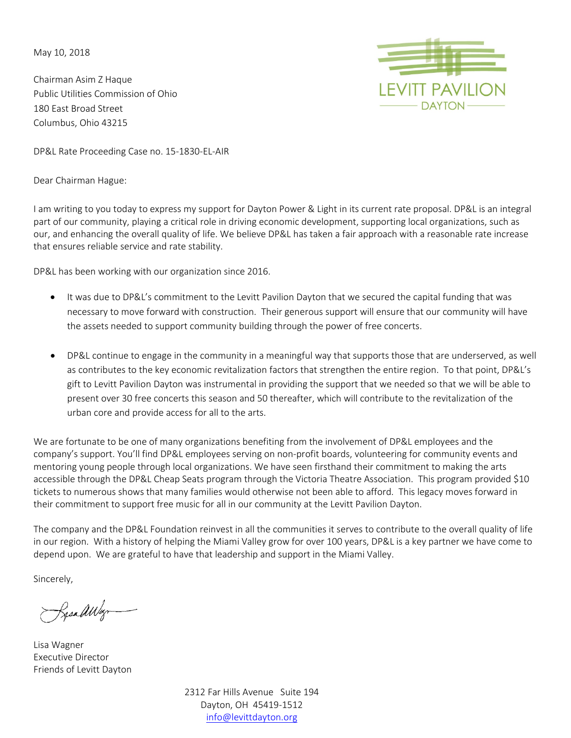May 10, 2018

Chairman Asim Z Haque Public Utilities Commission of Ohio 180 East Broad Street Columbus, Ohio 43215



DP&L Rate Proceeding Case no. 15-1830-EL-AIR

Dear Chairman Hague:

I am writing to you today to express my support for Dayton Power & Light in its current rate proposal. DP&L is an integral part of our community, playing a critical role in driving economic development, supporting local organizations, such as our, and enhancing the overall quality of life. We believe DP&L has taken a fair approach with a reasonable rate increase that ensures reliable service and rate stability.

DP&L has been working with our organization since 2016.

- It was due to DP&L's commitment to the Levitt Pavilion Dayton that we secured the capital funding that was necessary to move forward with construction. Their generous support will ensure that our community will have the assets needed to support community building through the power of free concerts.
- DP&L continue to engage in the community in a meaningful way that supports those that are underserved, as well as contributes to the key economic revitalization factors that strengthen the entire region. To that point, DP&L's gift to Levitt Pavilion Dayton was instrumental in providing the support that we needed so that we will be able to present over 30 free concerts this season and 50 thereafter, which will contribute to the revitalization of the urban core and provide access for all to the arts.

We are fortunate to be one of many organizations benefiting from the involvement of DP&L employees and the company's support. You'll find DP&L employees serving on non-profit boards, volunteering for community events and mentoring young people through local organizations. We have seen firsthand their commitment to making the arts accessible through the DP&L Cheap Seats program through the Victoria Theatre Association. This program provided \$10 tickets to numerous shows that many families would otherwise not been able to afford. This legacy moves forward in their commitment to support free music for all in our community at the Levitt Pavilion Dayton.

The company and the DP&L Foundation reinvest in all the communities it serves to contribute to the overall quality of life in our region. With a history of helping the Miami Valley grow for over 100 years, DP&L is a key partner we have come to depend upon. We are grateful to have that leadership and support in the Miami Valley.

Sincerely,

SpealWay

Lisa Wagner Executive Director Friends of Levitt Dayton

2312 Far Hills Avenue Suite 194 Dayton, OH 45419-1512 [info@levittdayton.org](mailto:info@levitt.org)